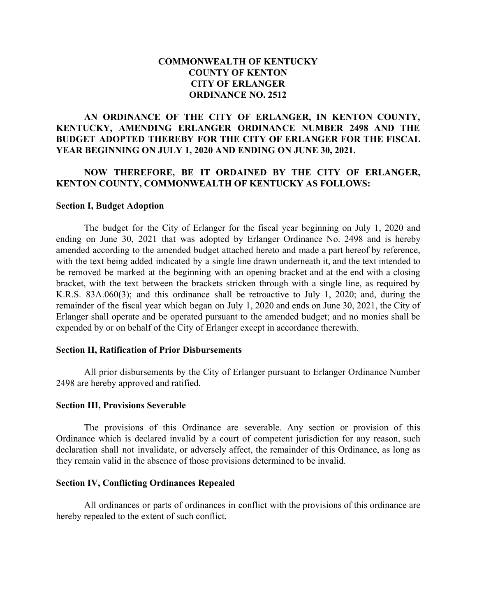## **COMMONWEALTH OF KENTUCKY COUNTY OF KENTON CITY OF ERLANGER ORDINANCE NO. 2512**

## **AN ORDINANCE OF THE CITY OF ERLANGER, IN KENTON COUNTY, KENTUCKY, AMENDING ERLANGER ORDINANCE NUMBER 2498 AND THE BUDGET ADOPTED THEREBY FOR THE CITY OF ERLANGER FOR THE FISCAL YEAR BEGINNING ON JULY 1, 2020 AND ENDING ON JUNE 30, 2021.**

### **NOW THEREFORE, BE IT ORDAINED BY THE CITY OF ERLANGER, KENTON COUNTY, COMMONWEALTH OF KENTUCKY AS FOLLOWS:**

#### **Section I, Budget Adoption**

The budget for the City of Erlanger for the fiscal year beginning on July 1, 2020 and ending on June 30, 2021 that was adopted by Erlanger Ordinance No. 2498 and is hereby amended according to the amended budget attached hereto and made a part hereof by reference, with the text being added indicated by a single line drawn underneath it, and the text intended to be removed be marked at the beginning with an opening bracket and at the end with a closing bracket, with the text between the brackets stricken through with a single line, as required by K.R.S. 83A.060(3); and this ordinance shall be retroactive to July 1, 2020; and, during the remainder of the fiscal year which began on July 1, 2020 and ends on June 30, 2021, the City of Erlanger shall operate and be operated pursuant to the amended budget; and no monies shall be expended by or on behalf of the City of Erlanger except in accordance therewith.

#### **Section II, Ratification of Prior Disbursements**

All prior disbursements by the City of Erlanger pursuant to Erlanger Ordinance Number 2498 are hereby approved and ratified.

#### **Section III, Provisions Severable**

The provisions of this Ordinance are severable. Any section or provision of this Ordinance which is declared invalid by a court of competent jurisdiction for any reason, such declaration shall not invalidate, or adversely affect, the remainder of this Ordinance, as long as they remain valid in the absence of those provisions determined to be invalid.

### **Section IV, Conflicting Ordinances Repealed**

All ordinances or parts of ordinances in conflict with the provisions of this ordinance are hereby repealed to the extent of such conflict.